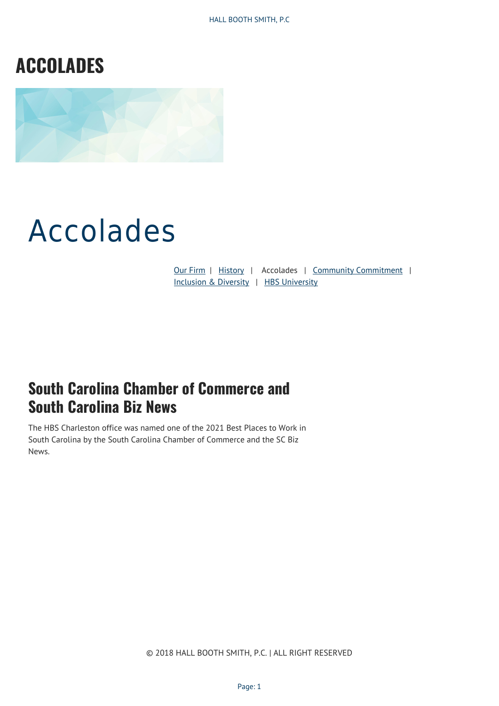# **ACCOLADES**



# Accolades

[Our Firm](http://hallboothsmith.com/about/) | [History](http://hallboothsmith.com/about/history/) | Accolades | [Community Commitment](http://hallboothsmith.com/community-commitment/) | [Inclusion & Diversity](http://hallboothsmith.com/diversity/) | [HBS University](http://hallboothsmith.com/hbs-university/)

#### **South Carolina Chamber of Commerce and South Carolina Biz News**

The HBS Charleston office was named one of the 2021 Best Places to Work in South Carolina by the South Carolina Chamber of Commerce and the SC Biz News.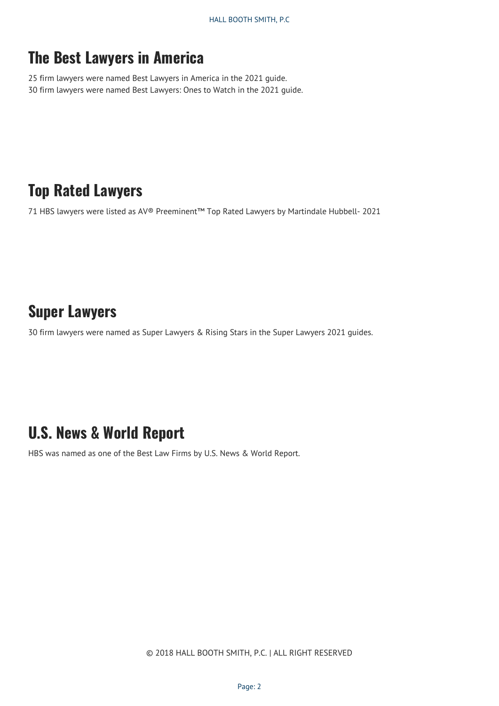#### **The Best Lawyers in America**

25 firm lawyers were named Best Lawyers in America in the 2021 guide. 30 firm lawyers were named Best Lawyers: Ones to Watch in the 2021 guide.

#### **Top Rated Lawyers**

71 HBS lawyers were listed as AV® Preeminent™ Top Rated Lawyers by Martindale Hubbell- 2021

#### **Super Lawyers**

30 firm lawyers were named as Super Lawyers & Rising Stars in the Super Lawyers 2021 guides.

#### **U.S. News & World Report**

HBS was named as one of the Best Law Firms by U.S. News & World Report.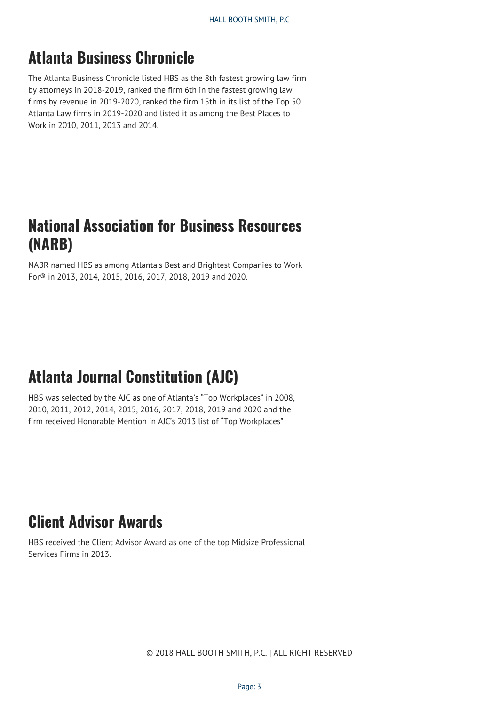### **Atlanta Business Chronicle**

The Atlanta Business Chronicle listed HBS as the 8th fastest growing law firm by attorneys in 2018-2019, ranked the firm 6th in the fastest growing law firms by revenue in 2019-2020, ranked the firm 15th in its list of the Top 50 Atlanta Law firms in 2019-2020 and listed it as among the Best Places to Work in 2010, 2011, 2013 and 2014.

#### **National Association for Business Resources (NARB)**

NABR named HBS as among Atlanta's Best and Brightest Companies to Work For® in 2013, 2014, 2015, 2016, 2017, 2018, 2019 and 2020.

# **Atlanta Journal Constitution (AJC)**

HBS was selected by the AJC as one of Atlanta's "Top Workplaces" in 2008, 2010, 2011, 2012, 2014, 2015, 2016, 2017, 2018, 2019 and 2020 and the firm received Honorable Mention in AJC's 2013 list of "Top Workplaces"

### **Client Advisor Awards**

HBS received the Client Advisor Award as one of the top Midsize Professional Services Firms in 2013.